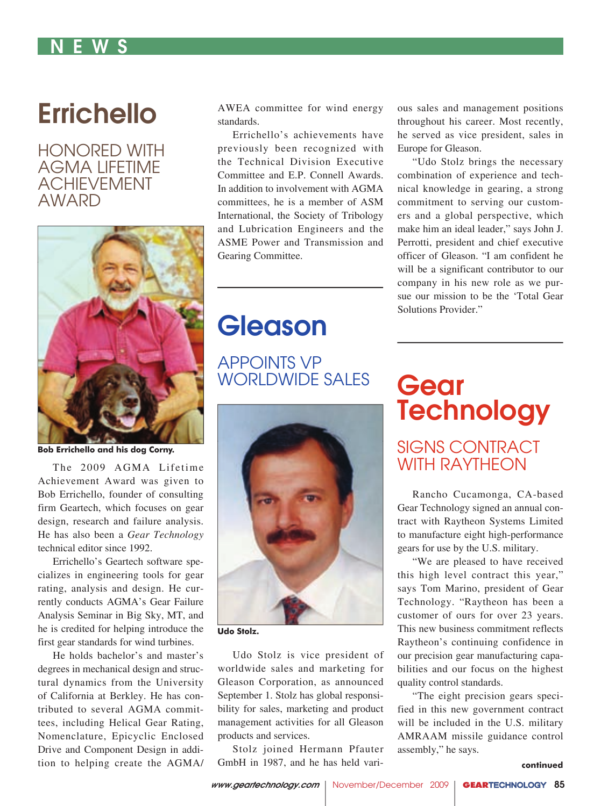### N E W S

# **Errichello**

HONORED WITH AGMA LIFETIME ACHIEVEMENT AWARD



**Bob Errichello and his dog Corny.**

The 2009 AGMA Lifetime Achievement Award was given to Bob Errichello, founder of consulting firm Geartech, which focuses on gear design, research and failure analysis. He has also been a *Gear Technology* technical editor since 1992.

Errichello's Geartech software specializes in engineering tools for gear rating, analysis and design. He currently conducts AGMA's Gear Failure Analysis Seminar in Big Sky, MT, and he is credited for helping introduce the first gear standards for wind turbines.

He holds bachelor's and master's degrees in mechanical design and structural dynamics from the University of California at Berkley. He has contributed to several AGMA committees, including Helical Gear Rating, Nomenclature, Epicyclic Enclosed Drive and Component Design in addition to helping create the AGMA/ AWEA committee for wind energy standards.

Errichello's achievements have previously been recognized with the Technical Division Executive Committee and E.P. Connell Awards. In addition to involvement with AGMA committees, he is a member of ASM International, the Society of Tribology and Lubrication Engineers and the ASME Power and Transmission and Gearing Committee.

ous sales and management positions throughout his career. Most recently, he served as vice president, sales in Europe for Gleason.

"Udo Stolz brings the necessary combination of experience and technical knowledge in gearing, a strong commitment to serving our customers and a global perspective, which make him an ideal leader," says John J. Perrotti, president and chief executive officer of Gleason. "I am confident he will be a significant contributor to our company in his new role as we pursue our mission to be the 'Total Gear Solutions Provider."

## Gleason

APPOINTS VP WORLDWIDE SALES



**Udo Stolz.**

Udo Stolz is vice president of worldwide sales and marketing for Gleason Corporation, as announced September 1. Stolz has global responsibility for sales, marketing and product management activities for all Gleason products and services.

Stolz joined Hermann Pfauter GmbH in 1987, and he has held vari-

# **Gear Technology**

### SIGNS CONTRACT WITH RAYTHEON

Rancho Cucamonga, CA-based Gear Technology signed an annual contract with Raytheon Systems Limited to manufacture eight high-performance gears for use by the U.S. military.

"We are pleased to have received this high level contract this year," says Tom Marino, president of Gear Technology. "Raytheon has been a customer of ours for over 23 years. This new business commitment reflects Raytheon's continuing confidence in our precision gear manufacturing capabilities and our focus on the highest quality control standards.

"The eight precision gears specified in this new government contract will be included in the U.S. military AMRAAM missile guidance control assembly," he says.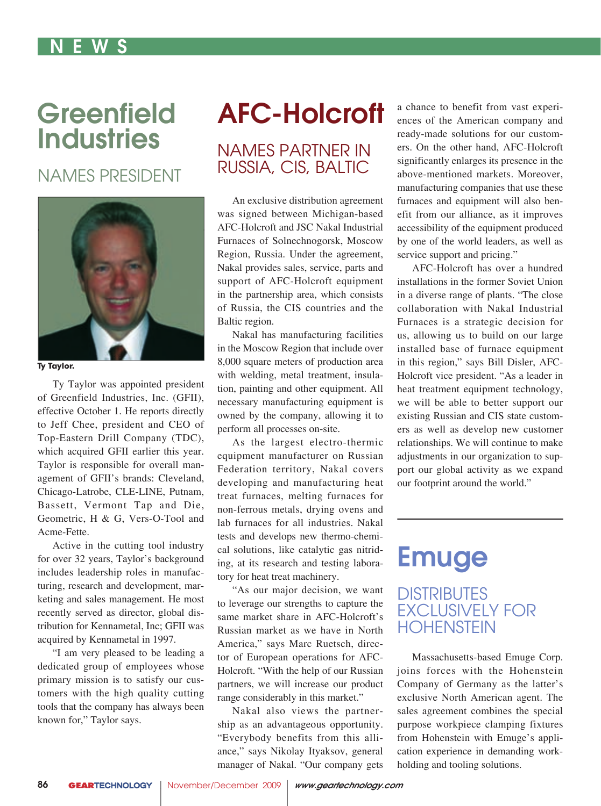### N E W S

# **Greenfield Industries**

### NAMES PRESIDENT



**Ty Taylor.**

Ty Taylor was appointed president of Greenfield Industries, Inc. (GFII), effective October 1. He reports directly to Jeff Chee, president and CEO of Top-Eastern Drill Company (TDC), which acquired GFII earlier this year. Taylor is responsible for overall management of GFII's brands: Cleveland, Chicago-Latrobe, CLE-LINE, Putnam, Bassett, Vermont Tap and Die, Geometric, H & G, Vers-O-Tool and Acme-Fette.

Active in the cutting tool industry for over 32 years, Taylor's background includes leadership roles in manufacturing, research and development, marketing and sales management. He most recently served as director, global distribution for Kennametal, Inc; GFII was acquired by Kennametal in 1997.

"I am very pleased to be leading a dedicated group of employees whose primary mission is to satisfy our customers with the high quality cutting tools that the company has always been known for," Taylor says.

# AFC-Holcroft

### NAMES PARTNER IN RUSSIA, CIS, BALTIC

An exclusive distribution agreement was signed between Michigan-based AFC-Holcroft and JSC Nakal Industrial Furnaces of Solnechnogorsk, Moscow Region, Russia. Under the agreement, Nakal provides sales, service, parts and support of AFC-Holcroft equipment in the partnership area, which consists of Russia, the CIS countries and the Baltic region.

Nakal has manufacturing facilities in the Moscow Region that include over 8,000 square meters of production area with welding, metal treatment, insulation, painting and other equipment. All necessary manufacturing equipment is owned by the company, allowing it to perform all processes on-site.

As the largest electro-thermic equipment manufacturer on Russian Federation territory, Nakal covers developing and manufacturing heat treat furnaces, melting furnaces for non-ferrous metals, drying ovens and lab furnaces for all industries. Nakal tests and develops new thermo-chemical solutions, like catalytic gas nitriding, at its research and testing laboratory for heat treat machinery.

"As our major decision, we want to leverage our strengths to capture the same market share in AFC-Holcroft's Russian market as we have in North America," says Marc Ruetsch, director of European operations for AFC-Holcroft. "With the help of our Russian partners, we will increase our product range considerably in this market."

Nakal also views the partnership as an advantageous opportunity. "Everybody benefits from this alliance," says Nikolay Ityaksov, general manager of Nakal. "Our company gets

a chance to benefit from vast experiences of the American company and ready-made solutions for our customers. On the other hand, AFC-Holcroft significantly enlarges its presence in the above-mentioned markets. Moreover, manufacturing companies that use these furnaces and equipment will also benefit from our alliance, as it improves accessibility of the equipment produced by one of the world leaders, as well as service support and pricing."

AFC-Holcroft has over a hundred installations in the former Soviet Union in a diverse range of plants. "The close collaboration with Nakal Industrial Furnaces is a strategic decision for us, allowing us to build on our large installed base of furnace equipment in this region," says Bill Disler, AFC-Holcroft vice president. "As a leader in heat treatment equipment technology, we will be able to better support our existing Russian and CIS state customers as well as develop new customer relationships. We will continue to make adjustments in our organization to support our global activity as we expand our footprint around the world."

# **Emuge**

### **DISTRIBUTES EXCLUSIVELY FOR HOHENSTEIN**

Massachusetts-based Emuge Corp. joins forces with the Hohenstein Company of Germany as the latter's exclusive North American agent. The sales agreement combines the special purpose workpiece clamping fixtures from Hohenstein with Emuge's application experience in demanding workholding and tooling solutions.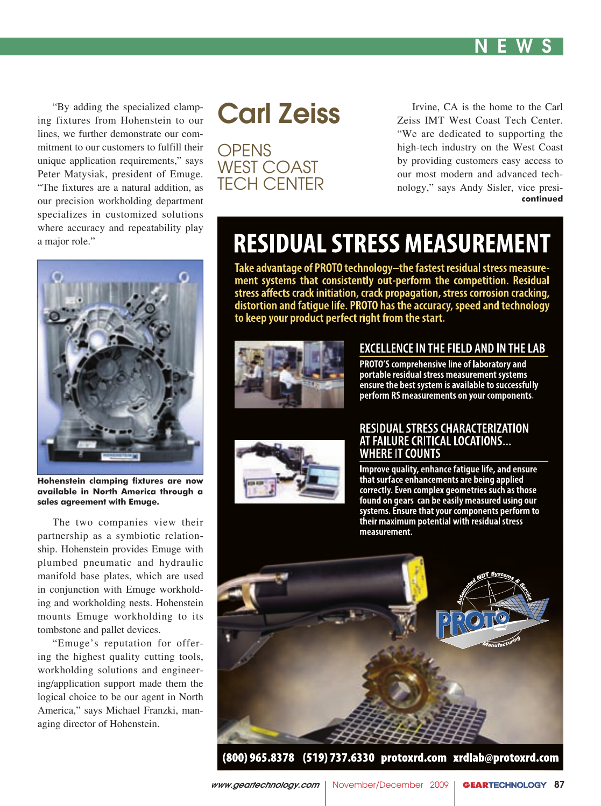

"By adding the specialized clamp-<br>ing fixtures from Hohenstein to our lines, we further demonstrate our com-"By adding the specialized clampmitment to our customers to fulfill their unique application requirements," says Peter Matysiak, president of Emuge. "The fixtures are a natural addition, as our precision workholding department specializes in customized solutions where accuracy and repeatability play a major role."

# Carl Zeiss

OPENS WEST COAST TECH CENTER

Irvine, CA is the home to the Carl Zeiss IMT West Coast Tech Center. "We are dedicated to supporting the high-tech industry on the West Coast by providing customers easy access to our most modern and advanced technology," says Andy Sisler, vice presi**continued**



**Hohenstein clamping fixtures are now available in North America through a sales agreement with Emuge.**

The two companies view their partnership as a symbiotic relationship. Hohenstein provides Emuge with plumbed pneumatic and hydraulic manifold base plates, which are used in conjunction with Emuge workholding and workholding nests. Hohenstein mounts Emuge workholding to its tombstone and pallet devices.

"Emuge's reputation for offering the highest quality cutting tools, workholding solutions and engineering/application support made them the logical choice to be our agent in North America," says Michael Franzki, managing director of Hohenstein.

# **RESIDUAL STRESS MEASUREMENT**

Take advantage of PROTO technology-the fastest residual stress measurement systems that consistently out-perform the competition. Residual stress affects crack initiation, crack propagation, stress corrosion cracking, distortion and fatigue life. PROTO has the accuracy, speed and technology to keep your product perfect right from the start.



#### EXCELLENCE IN THE FIELD AND IN THE LAB

PROTO'S comprehensive line of laboratory and portable residual stress measurement systems ensure the best system is available to successfully perform RS measurements on your components.



#### **RESIDUAL STRESS CHARACTERIZATION** AT FAILURE CRITICAL LOCATIONS... WHERE IT COUNTS

Improve quality, enhance fatigue life, and ensure that surface enhancements are being applied correctly. Even complex geometries such as those found on gears can be easily measured using our systems. Ensure that your components perform to their maximum potential with residual stress measurement.

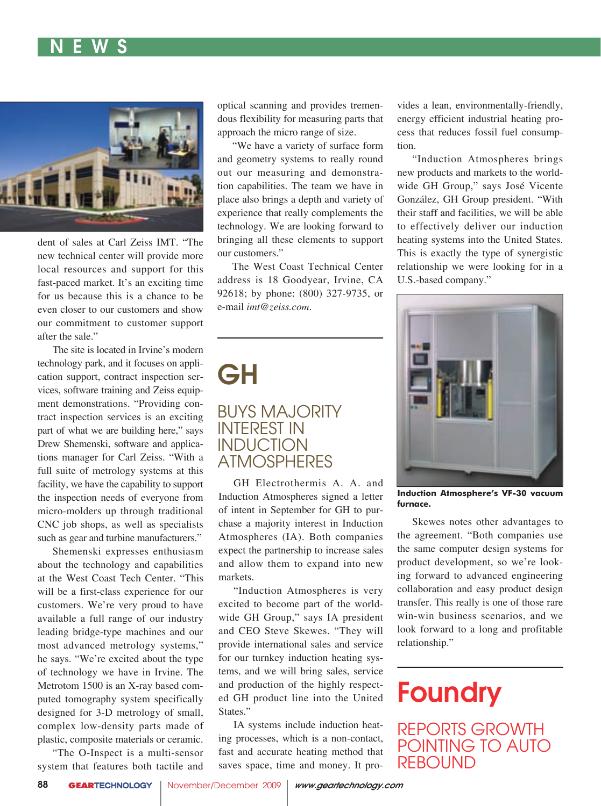### N E W S N E W S N E W S N E W S N E W S N E W S N E W S N E W S N E W S N E W S N E W S N E W S N E W S N E W



dent of sales at Carl Zeiss IMT. "The new technical center will provide more local resources and support for this fast-paced market. It's an exciting time for us because this is a chance to be even closer to our customers and show our commitment to customer support after the sale."

The site is located in Irvine's modern technology park, and it focuses on application support, contract inspection services, software training and Zeiss equipment demonstrations. "Providing contract inspection services is an exciting part of what we are building here," says Drew Shemenski, software and applications manager for Carl Zeiss. "With a full suite of metrology systems at this facility, we have the capability to support the inspection needs of everyone from micro-molders up through traditional CNC job shops, as well as specialists such as gear and turbine manufacturers."

Shemenski expresses enthusiasm about the technology and capabilities at the West Coast Tech Center. "This will be a first-class experience for our customers. We're very proud to have available a full range of our industry leading bridge-type machines and our most advanced metrology systems," he says. "We're excited about the type of technology we have in Irvine. The Metrotom 1500 is an X-ray based computed tomography system specifically designed for 3-D metrology of small, complex low-density parts made of plastic, composite materials or ceramic.

"The O-Inspect is a multi-sensor system that features both tactile and optical scanning and provides tremendous flexibility for measuring parts that approach the micro range of size.

"We have a variety of surface form and geometry systems to really round out our measuring and demonstration capabilities. The team we have in place also brings a depth and variety of experience that really complements the technology. We are looking forward to bringing all these elements to support our customers."

The West Coast Technical Center address is 18 Goodyear, Irvine, CA 92618; by phone: (800) 327-9735, or e-mail *imt@zeiss.com*.

# GH

### BUYS MAJORITY INTEREST IN **INDUCTION ATMOSPHERES**

GH Electrothermis A. A. and Induction Atmospheres signed a letter of intent in September for GH to purchase a majority interest in Induction Atmospheres (IA). Both companies expect the partnership to increase sales and allow them to expand into new markets.

"Induction Atmospheres is very excited to become part of the worldwide GH Group," says IA president and CEO Steve Skewes. "They will provide international sales and service for our turnkey induction heating systems, and we will bring sales, service and production of the highly respected GH product line into the United States."

IA systems include induction heating processes, which is a non-contact, fast and accurate heating method that saves space, time and money. It provides a lean, environmentally-friendly, energy efficient industrial heating process that reduces fossil fuel consumption.

"Induction Atmospheres brings new products and markets to the worldwide GH Group," says José Vicente González, GH Group president. "With their staff and facilities, we will be able to effectively deliver our induction heating systems into the United States. This is exactly the type of synergistic relationship we were looking for in a U.S.-based company."



**Induction Atmosphere's VF-30 vacuum furnace.**

Skewes notes other advantages to the agreement. "Both companies use the same computer design systems for product development, so we're looking forward to advanced engineering collaboration and easy product design transfer. This really is one of those rare win-win business scenarios, and we look forward to a long and profitable relationship."

# **Foundry**

REPORTS GROWTH POINTING TO AUTO **REBOUND**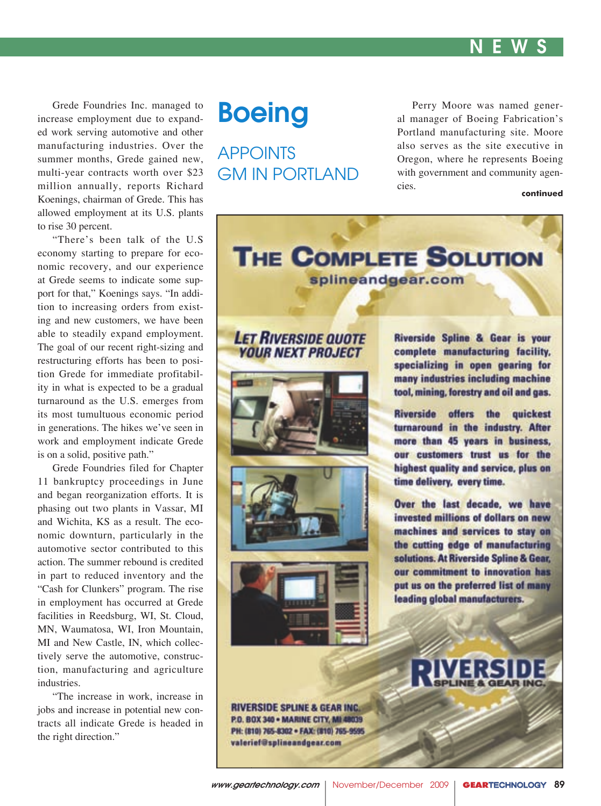

Grede Foundries Inc. managed to increase employment due to expanded work serving automotive and other manufacturing industries. Over the summer months, Grede gained new, multi-year contracts worth over \$23 million annually, reports Richard Koenings, chairman of Grede. This has allowed employment at its U.S. plants to rise 30 percent.

"There's been talk of the U.S economy starting to prepare for economic recovery, and our experience at Grede seems to indicate some support for that," Koenings says. "In addition to increasing orders from existing and new customers, we have been able to steadily expand employment. The goal of our recent right-sizing and restructuring efforts has been to position Grede for immediate profitability in what is expected to be a gradual turnaround as the U.S. emerges from its most tumultuous economic period in generations. The hikes we've seen in work and employment indicate Grede is on a solid, positive path."

Grede Foundries filed for Chapter 11 bankruptcy proceedings in June and began reorganization efforts. It is phasing out two plants in Vassar, MI and Wichita, KS as a result. The economic downturn, particularly in the automotive sector contributed to this action. The summer rebound is credited in part to reduced inventory and the "Cash for Clunkers" program. The rise in employment has occurred at Grede facilities in Reedsburg, WI, St. Cloud, MN, Waumatosa, WI, Iron Mountain, MI and New Castle, IN, which collectively serve the automotive, construction, manufacturing and agriculture industries.

"The increase in work, increase in jobs and increase in potential new contracts all indicate Grede is headed in the right direction."

## **Boeing**

APPOINTS GM IN PORTLAND

Perry Moore was named general manager of Boeing Fabrication's Portland manufacturing site. Moore also serves as the site executive in Oregon, where he represents Boeing with government and community agencies.

#### **continued**



### **LET RIVERSIDE QUOTE YOUR NEXT PROJECT**







Riverside Spline & Gear is your complete manufacturing facility. specializing in open gearing for many industries including machine tool, mining, forestry and oil and gas.

Riverside offers the quickest turnaround in the industry. After more than 45 years in business, our customers trust us for the highest quality and service, plus on time delivery, every time.

Over the last decade, we have invested millions of dollars on new machines and services to stay on the cutting edge of manufacturing solutions. At Riverside Spline & Gear. our commitment to innovation has put us on the preferred list of many leading global manufacturers.

**RIVERSIDE SPLINE & GEAR INC.** P.O. BOX 340 . MARINE CITY, MI 48039 PH: (810) 765-8302 · FAX: (810) 765-9595 valerief@splineandgear.com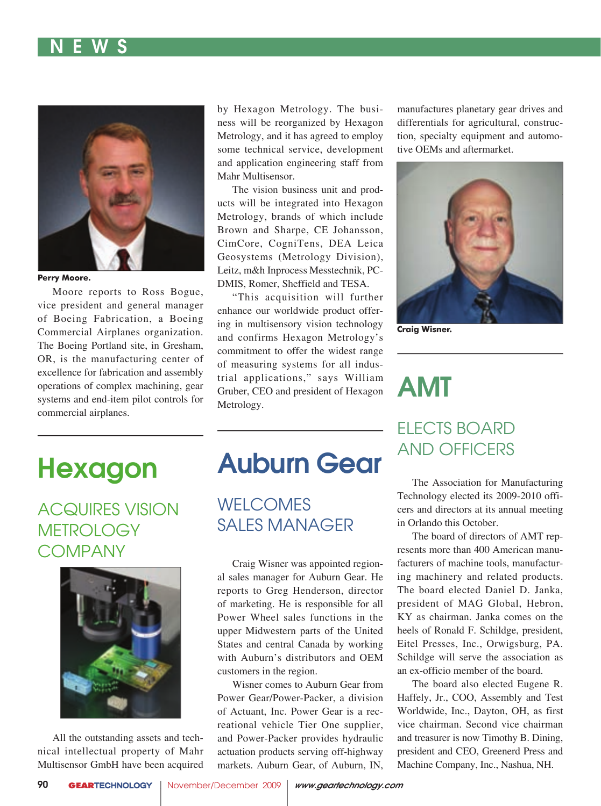### N E W S N E W S N E W S N E W S N E W S N E W S N E W S N E W S N E W S N E W S N E W S N E W S N E W S N E W



**Perry Moore.**

Moore reports to Ross Bogue, vice president and general manager of Boeing Fabrication, a Boeing Commercial Airplanes organization. The Boeing Portland site, in Gresham, OR, is the manufacturing center of excellence for fabrication and assembly operations of complex machining, gear systems and end-item pilot controls for commercial airplanes.

by Hexagon Metrology. The business will be reorganized by Hexagon Metrology, and it has agreed to employ some technical service, development and application engineering staff from Mahr Multisensor.

The vision business unit and products will be integrated into Hexagon Metrology, brands of which include Brown and Sharpe, CE Johansson, CimCore, CogniTens, DEA Leica Geosystems (Metrology Division), Leitz, m&h Inprocess Messtechnik, PC-DMIS, Romer, Sheffield and TESA.

"This acquisition will further enhance our worldwide product offering in multisensory vision technology and confirms Hexagon Metrology's commitment to offer the widest range of measuring systems for all industrial applications," says William Gruber, CEO and president of Hexagon Metrology.

manufactures planetary gear drives and differentials for agricultural, construction, specialty equipment and automotive OEMs and aftermarket.



**Craig Wisner.**

# AMT

# Hexagon

ACQUIRES VISION **METROLOGY COMPANY** 



All the outstanding assets and technical intellectual property of Mahr Multisensor GmbH have been acquired

# Auburn Gear

WELCOMES SALES MANAGER

Craig Wisner was appointed regional sales manager for Auburn Gear. He reports to Greg Henderson, director of marketing. He is responsible for all Power Wheel sales functions in the upper Midwestern parts of the United States and central Canada by working with Auburn's distributors and OEM customers in the region.

Wisner comes to Auburn Gear from Power Gear/Power-Packer, a division of Actuant, Inc. Power Gear is a recreational vehicle Tier One supplier, and Power-Packer provides hydraulic actuation products serving off-highway markets. Auburn Gear, of Auburn, IN,

## ELECTS BOARD AND OFFICERS

The Association for Manufacturing Technology elected its 2009-2010 officers and directors at its annual meeting in Orlando this October.

The board of directors of AMT represents more than 400 American manufacturers of machine tools, manufacturing machinery and related products. The board elected Daniel D. Janka, president of MAG Global, Hebron, KY as chairman. Janka comes on the heels of Ronald F. Schildge, president, Eitel Presses, Inc., Orwigsburg, PA. Schildge will serve the association as an ex-officio member of the board.

The board also elected Eugene R. Haffely, Jr., COO, Assembly and Test Worldwide, Inc., Dayton, OH, as first vice chairman. Second vice chairman and treasurer is now Timothy B. Dining, president and CEO, Greenerd Press and Machine Company, Inc., Nashua, NH.